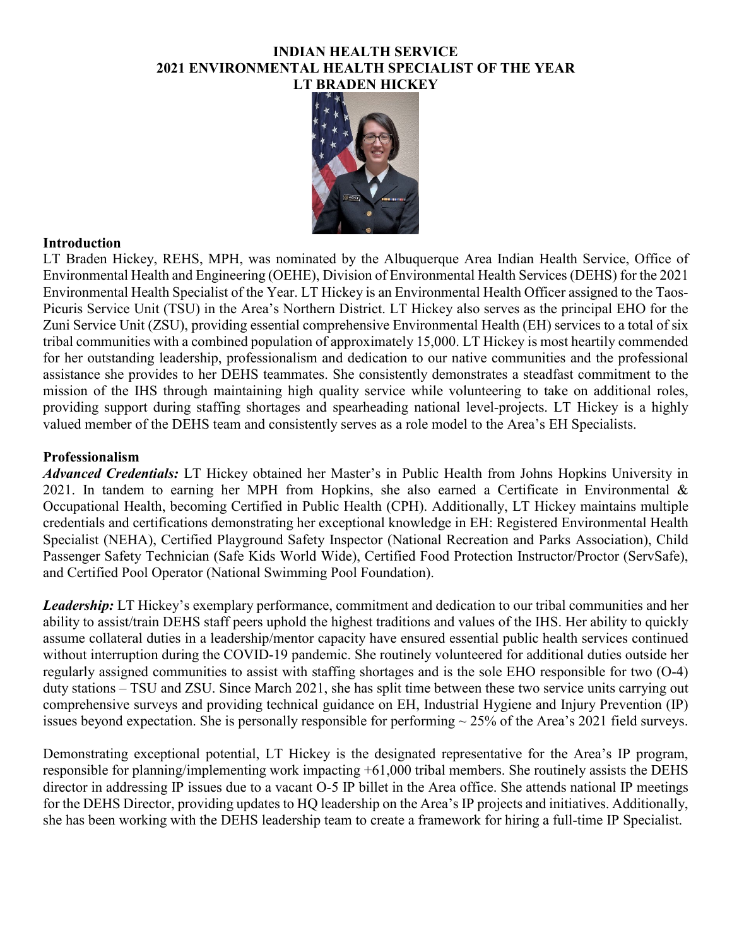### **INDIAN HEALTH SERVICE 2021 ENVIRONMENTAL HEALTH SPECIALIST OF THE YEAR LT BRADEN HICKEY**



# **Introduction**

LT Braden Hickey, REHS, MPH, was nominated by the Albuquerque Area Indian Health Service, Office of Environmental Health and Engineering (OEHE), Division of Environmental Health Services (DEHS) for the 2021 Environmental Health Specialist of the Year. LT Hickey is an Environmental Health Officer assigned to the Taos-Picuris Service Unit (TSU) in the Area's Northern District. LT Hickey also serves as the principal EHO for the Zuni Service Unit (ZSU), providing essential comprehensive Environmental Health (EH) services to a total of six tribal communities with a combined population of approximately 15,000. LT Hickey is most heartily commended for her outstanding leadership, professionalism and dedication to our native communities and the professional assistance she provides to her DEHS teammates. She consistently demonstrates a steadfast commitment to the mission of the IHS through maintaining high quality service while volunteering to take on additional roles, providing support during staffing shortages and spearheading national level-projects. LT Hickey is a highly valued member of the DEHS team and consistently serves as a role model to the Area's EH Specialists.

### **Professionalism**

*Advanced Credentials:* LT Hickey obtained her Master's in Public Health from Johns Hopkins University in 2021. In tandem to earning her MPH from Hopkins, she also earned a Certificate in Environmental & Occupational Health, becoming Certified in Public Health (CPH). Additionally, LT Hickey maintains multiple credentials and certifications demonstrating her exceptional knowledge in EH: Registered Environmental Health Specialist (NEHA), Certified Playground Safety Inspector (National Recreation and Parks Association), Child Passenger Safety Technician (Safe Kids World Wide), Certified Food Protection Instructor/Proctor (ServSafe), and Certified Pool Operator (National Swimming Pool Foundation).

*Leadership:* LT Hickey's exemplary performance, commitment and dedication to our tribal communities and her ability to assist/train DEHS staff peers uphold the highest traditions and values of the IHS. Her ability to quickly assume collateral duties in a leadership/mentor capacity have ensured essential public health services continued without interruption during the COVID-19 pandemic. She routinely volunteered for additional duties outside her regularly assigned communities to assist with staffing shortages and is the sole EHO responsible for two (O-4) duty stations – TSU and ZSU. Since March 2021, she has split time between these two service units carrying out comprehensive surveys and providing technical guidance on EH, Industrial Hygiene and Injury Prevention (IP) issues beyond expectation. She is personally responsible for performing  $\sim$  25% of the Area's 2021 field surveys.

Demonstrating exceptional potential, LT Hickey is the designated representative for the Area's IP program, responsible for planning/implementing work impacting +61,000 tribal members. She routinely assists the DEHS director in addressing IP issues due to a vacant O-5 IP billet in the Area office. She attends national IP meetings for the DEHS Director, providing updates to HQ leadership on the Area's IP projects and initiatives. Additionally, she has been working with the DEHS leadership team to create a framework for hiring a full-time IP Specialist.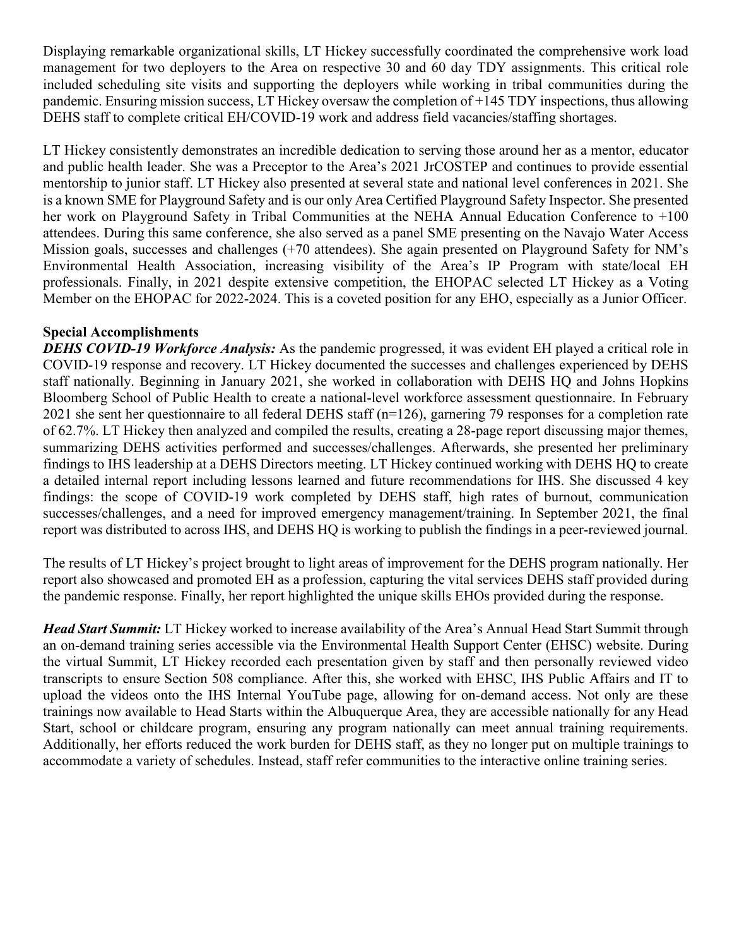Displaying remarkable organizational skills, LT Hickey successfully coordinated the comprehensive work load management for two deployers to the Area on respective 30 and 60 day TDY assignments. This critical role included scheduling site visits and supporting the deployers while working in tribal communities during the pandemic. Ensuring mission success, LT Hickey oversaw the completion of +145 TDY inspections, thus allowing DEHS staff to complete critical EH/COVID-19 work and address field vacancies/staffing shortages.

LT Hickey consistently demonstrates an incredible dedication to serving those around her as a mentor, educator and public health leader. She was a Preceptor to the Area's 2021 JrCOSTEP and continues to provide essential mentorship to junior staff. LT Hickey also presented at several state and national level conferences in 2021. She is a known SME for Playground Safety and is our only Area Certified Playground Safety Inspector. She presented her work on Playground Safety in Tribal Communities at the NEHA Annual Education Conference to +100 attendees. During this same conference, she also served as a panel SME presenting on the Navajo Water Access Mission goals, successes and challenges (+70 attendees). She again presented on Playground Safety for NM's Environmental Health Association, increasing visibility of the Area's IP Program with state/local EH professionals. Finally, in 2021 despite extensive competition, the EHOPAC selected LT Hickey as a Voting Member on the EHOPAC for 2022-2024. This is a coveted position for any EHO, especially as a Junior Officer.

# **Special Accomplishments**

*DEHS COVID-19 Workforce Analysis:* As the pandemic progressed, it was evident EH played a critical role in COVID-19 response and recovery. LT Hickey documented the successes and challenges experienced by DEHS staff nationally. Beginning in January 2021, she worked in collaboration with DEHS HQ and Johns Hopkins Bloomberg School of Public Health to create a national-level workforce assessment questionnaire. In February 2021 she sent her questionnaire to all federal DEHS staff (n=126), garnering 79 responses for a completion rate of 62.7%. LT Hickey then analyzed and compiled the results, creating a 28-page report discussing major themes, summarizing DEHS activities performed and successes/challenges. Afterwards, she presented her preliminary findings to IHS leadership at a DEHS Directors meeting. LT Hickey continued working with DEHS HQ to create a detailed internal report including lessons learned and future recommendations for IHS. She discussed 4 key findings: the scope of COVID-19 work completed by DEHS staff, high rates of burnout, communication successes/challenges, and a need for improved emergency management/training. In September 2021, the final report was distributed to across IHS, and DEHS HQ is working to publish the findings in a peer-reviewed journal.

The results of LT Hickey's project brought to light areas of improvement for the DEHS program nationally. Her report also showcased and promoted EH as a profession, capturing the vital services DEHS staff provided during the pandemic response. Finally, her report highlighted the unique skills EHOs provided during the response.

*Head Start Summit:* LT Hickey worked to increase availability of the Area's Annual Head Start Summit through an on-demand training series accessible via the Environmental Health Support Center (EHSC) website. During the virtual Summit, LT Hickey recorded each presentation given by staff and then personally reviewed video transcripts to ensure Section 508 compliance. After this, she worked with EHSC, IHS Public Affairs and IT to upload the videos onto the IHS Internal YouTube page, allowing for on-demand access. Not only are these trainings now available to Head Starts within the Albuquerque Area, they are accessible nationally for any Head Start, school or childcare program, ensuring any program nationally can meet annual training requirements. Additionally, her efforts reduced the work burden for DEHS staff, as they no longer put on multiple trainings to accommodate a variety of schedules. Instead, staff refer communities to the interactive online training series.